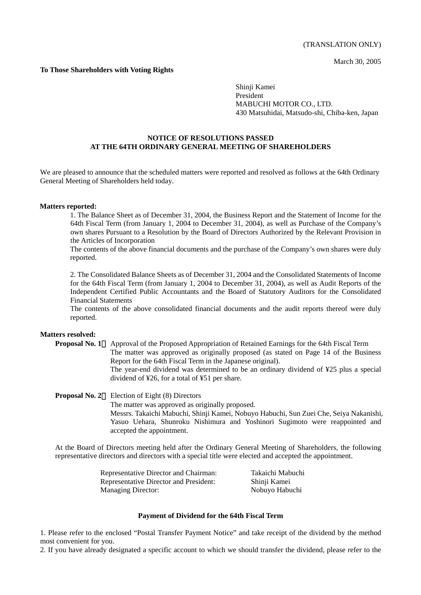March 30, 2005

# **To Those Shareholders with Voting Rights**

Shinji Kamei President MABUCHI MOTOR CO., LTD. 430 Matsuhidai, Matsudo-shi, Chiba-ken, Japan

# **NOTICE OF RESOLUTIONS PASSED AT THE 64TH ORDINARY GENERAL MEETING OF SHAREHOLDERS**

We are pleased to announce that the scheduled matters were reported and resolved as follows at the 64th Ordinary General Meeting of Shareholders held today.

#### **Matters reported:**

1. The Balance Sheet as of December 31, 2004, the Business Report and the Statement of Income for the 64th Fiscal Term (from January 1, 2004 to December 31, 2004), as well as Purchase of the Company's own shares Pursuant to a Resolution by the Board of Directors Authorized by the Relevant Provision in the Articles of Incorporation

The contents of the above financial documents and the purchase of the Company's own shares were duly reported.

2. The Consolidated Balance Sheets as of December 31, 2004 and the Consolidated Statements of Income for the 64th Fiscal Term (from January 1, 2004 to December 31, 2004), as well as Audit Reports of the Independent Certified Public Accountants and the Board of Statutory Auditors for the Consolidated Financial Statements

The contents of the above consolidated financial documents and the audit reports thereof were duly reported.

### **Matters resolved:**

**Proposal No. 1**: Approval of the Proposed Appropriation of Retained Earnings for the 64th Fiscal Term The matter was approved as originally proposed (as stated on Page 14 of the Business Report for the 64th Fiscal Term in the Japanese original). The year-end dividend was determined to be an ordinary dividend of ¥25 plus a special dividend of ¥26, for a total of ¥51 per share.

# **Proposal No. 2** Election of Eight (8) Directors The matter was approved as originally proposed. Messrs. Takaichi Mabuchi, Shinji Kamei, Nobuyo Habuchi, Sun Zuei Che, Seiya Nakanishi, Yasuo Uehara, Shunroku Nishimura and Yoshinori Sugimoto were reappointed and accepted the appointment.

At the Board of Directors meeting held after the Ordinary General Meeting of Shareholders, the following representative directors and directors with a special title were elected and accepted the appointment.

| Representative Director and Chairman:  | Takaichi Mabuchi |
|----------------------------------------|------------------|
| Representative Director and President: | Shinji Kamei     |
| <b>Managing Director:</b>              | Nobuyo Habuchi   |

### **Payment of Dividend for the 64th Fiscal Term**

1. Please refer to the enclosed "Postal Transfer Payment Notice" and take receipt of the dividend by the method most convenient for you.

2. If you have already designated a specific account to which we should transfer the dividend, please refer to the